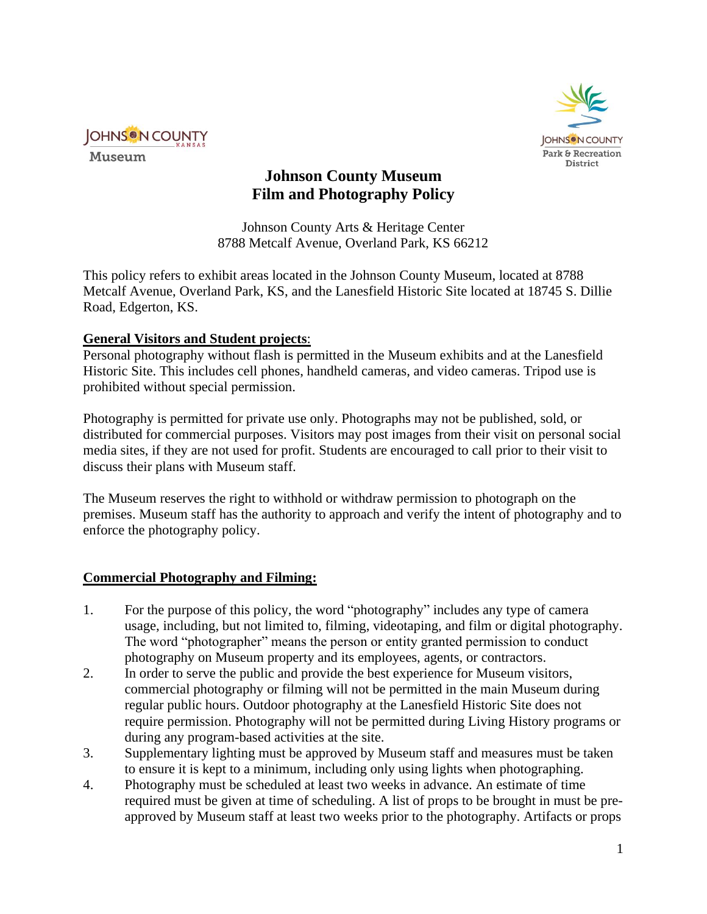

Museum



# **Johnson County Museum Film and Photography Policy**

Johnson County Arts & Heritage Center 8788 Metcalf Avenue, Overland Park, KS 66212

This policy refers to exhibit areas located in the Johnson County Museum, located at 8788 Metcalf Avenue, Overland Park, KS, and the Lanesfield Historic Site located at 18745 S. Dillie Road, Edgerton, KS.

## **General Visitors and Student projects**:

Personal photography without flash is permitted in the Museum exhibits and at the Lanesfield Historic Site. This includes cell phones, handheld cameras, and video cameras. Tripod use is prohibited without special permission.

Photography is permitted for private use only. Photographs may not be published, sold, or distributed for commercial purposes. Visitors may post images from their visit on personal social media sites, if they are not used for profit. Students are encouraged to call prior to their visit to discuss their plans with Museum staff.

The Museum reserves the right to withhold or withdraw permission to photograph on the premises. Museum staff has the authority to approach and verify the intent of photography and to enforce the photography policy.

## **Commercial Photography and Filming:**

- 1. For the purpose of this policy, the word "photography" includes any type of camera usage, including, but not limited to, filming, videotaping, and film or digital photography. The word "photographer" means the person or entity granted permission to conduct photography on Museum property and its employees, agents, or contractors.
- 2. In order to serve the public and provide the best experience for Museum visitors, commercial photography or filming will not be permitted in the main Museum during regular public hours. Outdoor photography at the Lanesfield Historic Site does not require permission. Photography will not be permitted during Living History programs or during any program-based activities at the site.
- 3. Supplementary lighting must be approved by Museum staff and measures must be taken to ensure it is kept to a minimum, including only using lights when photographing.
- 4. Photography must be scheduled at least two weeks in advance. An estimate of time required must be given at time of scheduling. A list of props to be brought in must be preapproved by Museum staff at least two weeks prior to the photography. Artifacts or props